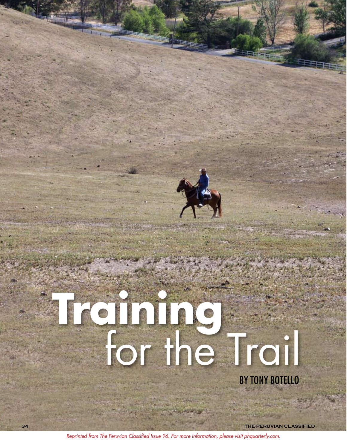# **Training** for the Trail BY TONY BOTELLO

**34 THE PERUVIAN CLASSIFIED**

*Reprinted from The Peruvian Classified Issue 96. For more information, please visit phquarterly.com.*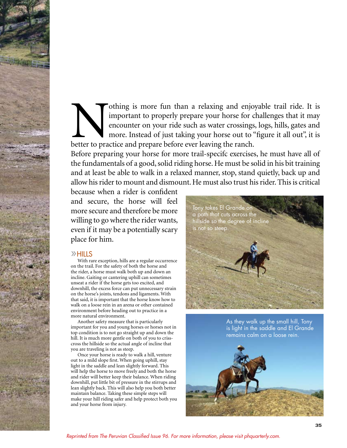othing is more fun than a relaxing and enjoyable trail ride. It is important to properly prepare your horse for challenges that it may encounter on your ride such as water crossings, logs, hills, gates and more. Instead of important to properly prepare your horse for challenges that it may encounter on your ride such as water crossings, logs, hills, gates and more. Instead of just taking your horse out to "figure it all out", it is better to practice and prepare before ever leaving the ranch.

Before preparing your horse for more trail-specifc exercises, he must have all of the fundamentals of a good, solid riding horse. He must be solid in his bit training and at least be able to walk in a relaxed manner, stop, stand quietly, back up and allow his rider to mount and dismount. He must also trust his rider. This is critical

because when a rider is confident and secure, the horse will feel more secure and therefore be more willing to go where the rider wants, even if it may be a potentially scary place for him.

### »HILLS

With rare exception, hills are a regular occurrence on the trail. For the safety of both the horse and the rider, a horse must walk both up and down an incline. Gaiting or cantering uphill can sometimes unseat a rider if the horse gets too excited, and downhill, the excess force can put unnecessary strain on the horse's joints, tendons and ligaments. With that said, it is important that the horse know how to walk on a loose rein in an arena or other contained environment before heading out to practice in a more natural environment.

Another safety measure that is particularly important for you and young horses or horses not in top condition is to not go straight up and down the hill. It is much more gentle on both of you to crisscross the hillside so the actual angle of incline that you are traveling is not as steep.

Once your horse is ready to walk a hill, venture out to a mild slope first. When going uphill, stay light in the saddle and lean slightly forward. This will help the horse to move freely and both the horse and rider will better keep their balance. When riding downhill, put little bit of pressure in the stirrups and lean slightly back. This will also help you both better maintain balance. Taking these simple steps will make your hill riding safer and help protect both you and your horse from injury.



As they walk up the small hill, Tony is light in the saddle and El Grande remains calm on a loose rein.

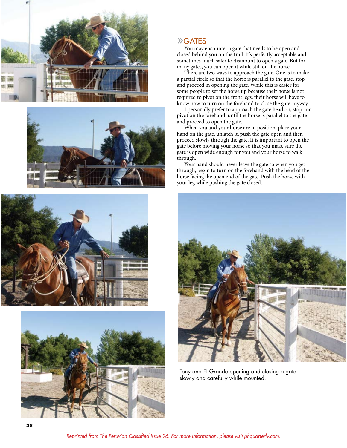







# »GATES

You may encounter a gate that needs to be open and closed behind you on the trail. It's perfectly acceptable and sometimes much safer to dismount to open a gate. But for many gates, you can open it while still on the horse.

There are two ways to approach the gate. One is to make a partial circle so that the horse is parallel to the gate, stop and proceed in opening the gate. While this is easier for some people to set the horse up because their horse is not required to pivot on the front legs, their horse will have to know how to turn on the forehand to close the gate anyway.

I personally prefer to approach the gate head on, stop and pivot on the forehand until the horse is parallel to the gate and proceed to open the gate.

When you and your horse are in position, place your hand on the gate, unlatch it, push the gate open and then proceed slowly through the gate. It is important to open the gate before moving your horse so that you make sure the gate is open wide enough for you and your horse to walk through.

Your hand should never leave the gate so when you get through, begin to turn on the forehand with the head of the horse facing the open end of the gate. Push the horse with your leg while pushing the gate closed.



Tony and El Grande opening and closing a gate slowly and carefully while mounted.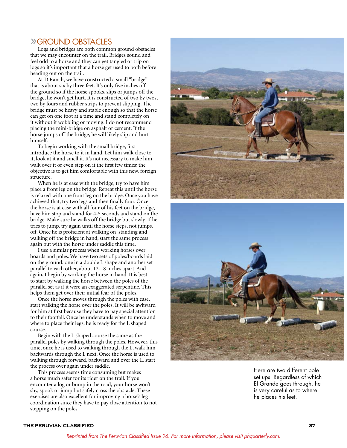# »GROUND OBSTACLES

Logs and bridges are both common ground obstacles that we may encounter on the trail. Bridges sound and feel odd to a horse and they can get tangled or trip on logs so it's important that a horse get used to both before heading out on the trail.

At D Ranch, we have constructed a small "bridge" that is about six by three feet. It's only five inches off the ground so if the horse spooks, slips or jumps off the bridge, he won't get hurt. It is constructed of two by twos, two by fours and rubber strips to prevent slipping. The bridge must be heavy and stable enough so that the horse can get on one foot at a time and stand completely on it without it wobbling or moving. I do not recommend placing the mini-bridge on asphalt or cement. If the horse jumps off the bridge, he will likely slip and hurt himself.

To begin working with the small bridge, first introduce the horse to it in hand. Let him walk close to it, look at it and smell it. It's not necessary to make him walk over it or even step on it the first few times; the objective is to get him comfortable with this new, foreign structure.

When he is at ease with the bridge, try to have him place a front leg on the bridge. Repeat this until the horse is relaxed with one front leg on the bridge. Once you have achieved that, try two legs and then finally four. Once the horse is at ease with all four of his feet on the bridge, have him stop and stand for 4-5 seconds and stand on the bridge. Make sure he walks off the bridge but slowly. If he tries to jump, try again until the horse steps, not jumps, off. Once he is proficient at walking on, standing and walking off the bridge in hand, start the same process again but with the horse under saddle this time.

I use a similar process when working horses over boards and poles. We have two sets of poles/boards laid on the ground: one in a double L shape and another set parallel to each other, about 12-18 inches apart. And again, I begin by working the horse in hand. It is best to start by walking the horse between the poles of the parallel set as if it were an exaggerated serpentine. This helps them get over their initial fear of the poles.

Once the horse moves through the poles with ease, start walking the horse over the poles. It will be awkward for him at first because they have to pay special attention to their footfall. Once he understands when to move and where to place their legs, he is ready for the L shaped course.

Begin with the L shaped course the same as the parallel poles by walking through the poles. However, this time, once he is used to walking through the L, walk him backwards through the L next. Once the horse is used to walking through forward, backward and over the L, start the process over again under saddle.

This process seems time consuming but makes a horse much safer for its rider on the trail. If you encounter a log or bump in the road, your horse won't shy, spook or jump but safely cross the obstacle. These exercises are also excellent for improving a horse's leg coordination since they have to pay close attention to not stepping on the poles.





Here are two different pole set ups. Regardless of which El Grande goes through, he is very careful as to where he places his feet.

### **THE PERUVIAN CLASSIFIED 37**